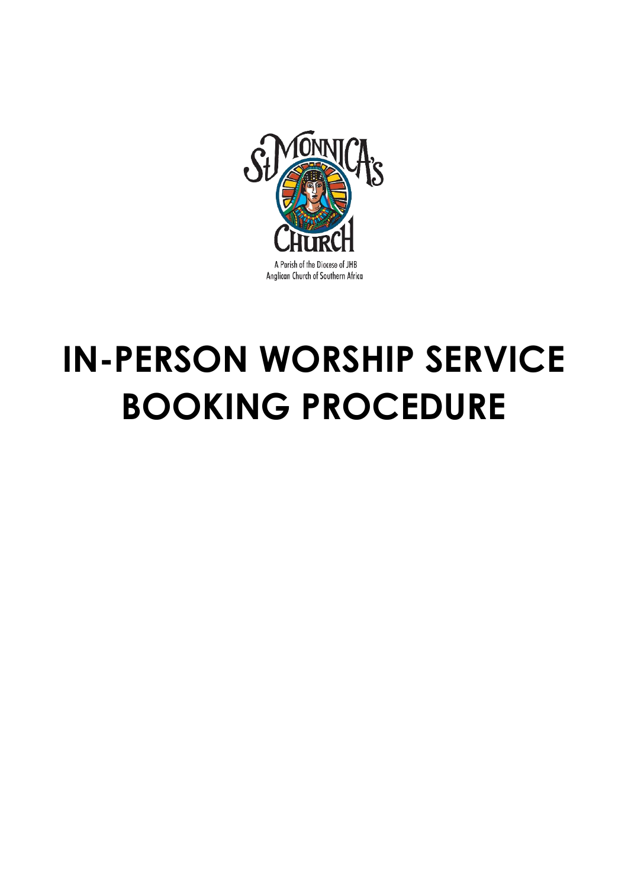

# **IN-PERSON WORSHIP SERVICE BOOKING PROCEDURE**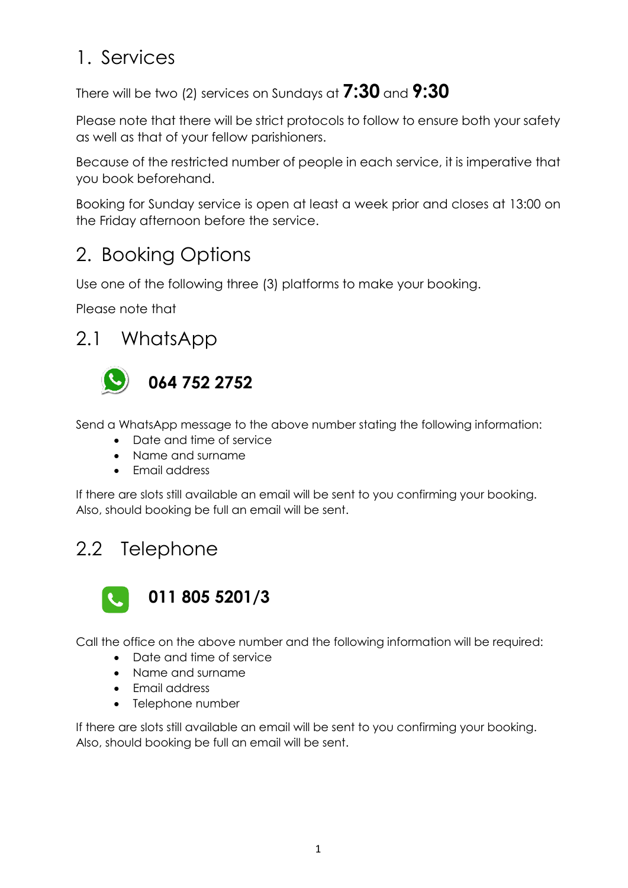## 1. Services

#### There will be two (2) services on Sundays at **7:30** and **9:30**

Please note that there will be strict protocols to follow to ensure both your safety as well as that of your fellow parishioners.

Because of the restricted number of people in each service, it is imperative that you book beforehand.

Booking for Sunday service is open at least a week prior and closes at 13:00 on the Friday afternoon before the service.

## 2. Booking Options

Use one of the following three (3) platforms to make your booking.

Please note that

2.1 WhatsApp



Send a WhatsApp message to the above number stating the following information:

- Date and time of service
- Name and surname
- Fmail address

If there are slots still available an email will be sent to you confirming your booking. Also, should booking be full an email will be sent.

## 2.2 Telephone



Call the office on the above number and the following information will be required:

- Date and time of service
- Name and surname
- Email address
- Telephone number

If there are slots still available an email will be sent to you confirming your booking. Also, should booking be full an email will be sent.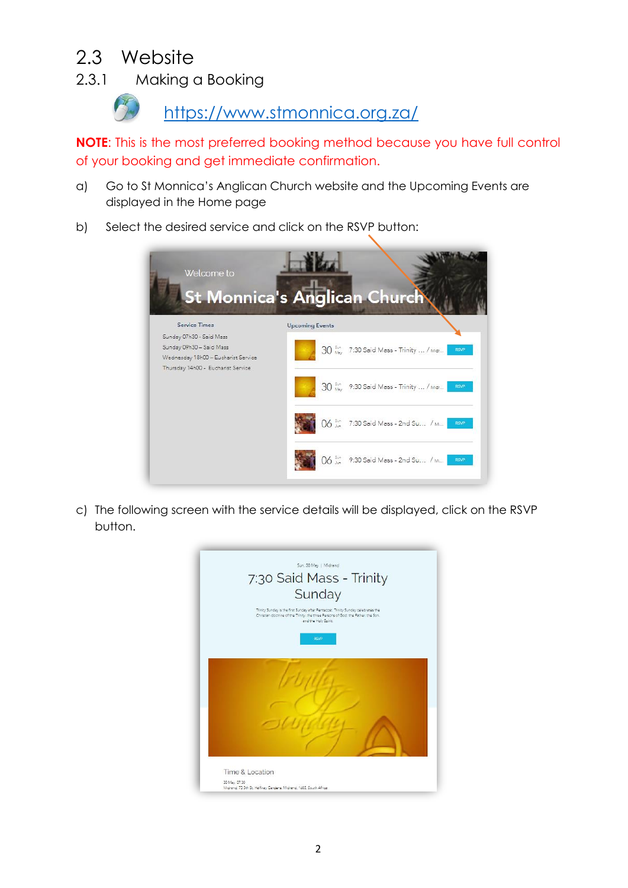#### 2.3 Website

2.3.1 Making a Booking

<https://www.stmonnica.org.za/>

**NOTE**: This is the most preferred booking method because you have full control of your booking and get immediate confirmation.

- a) Go to St Monnica's Anglican Church website and the Upcoming Events are displayed in the Home page
- b) Select the desired service and click on the RSVP button:



c) The following screen with the service details will be displayed, click on the RSVP button.

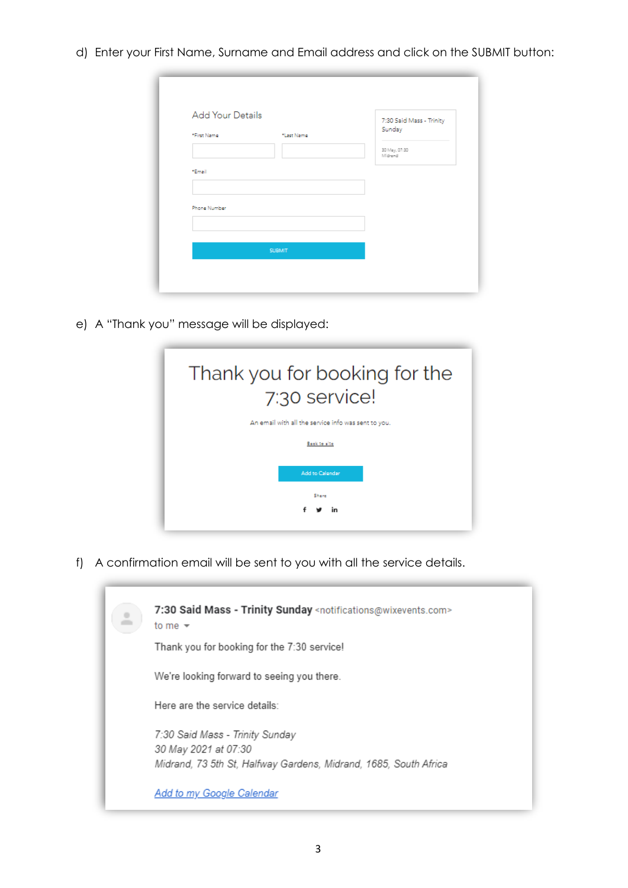d) Enter your First Name, Surname and Email address and click on the SUBMIT button:

| Add Your Details<br>*First Name | *Last Name | 7:30 Said Mass - Trinity<br>Sunday |
|---------------------------------|------------|------------------------------------|
|                                 |            | 30 May, 07:30<br>Midrand           |
| *Email                          |            |                                    |
| Phone Number                    |            |                                    |
|                                 |            |                                    |
| <b>SUBMIT</b>                   |            |                                    |

e) A "Thank you" message will be displayed:



f) A confirmation email will be sent to you with all the service details.